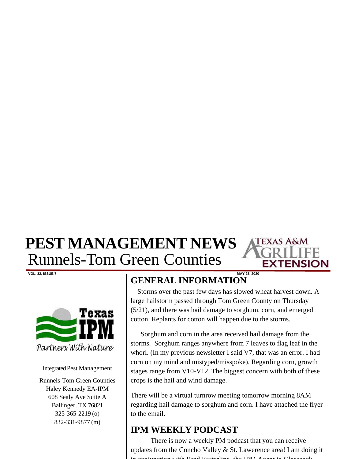## **PEST MANAGEMENT NEWS**  Runnels-Tom Green Counties



Integrated Pest Management

Runnels-Tom Green Counties Haley Kennedy EA-IPM 608 Sealy Ave Suite A Ballinger, TX 76821 325-365-2219 (o) 832-331-9877 (m)

## **VOL. 32, ISSUE 7 MAY 25, 2020 GENERAL INFORMATION**

 Storms over the past few days has slowed wheat harvest down. A large hailstorm passed through Tom Green County on Thursday (5/21), and there was hail damage to sorghum, corn, and emerged cotton. Replants for cotton will happen due to the storms.

TEXAS A&M

JSION

 Sorghum and corn in the area received hail damage from the storms. Sorghum ranges anywhere from 7 leaves to flag leaf in the whorl. (In my previous newsletter I said V7, that was an error. I had corn on my mind and mistyped/misspoke). Regarding corn, growth stages range from V10-V12. The biggest concern with both of these crops is the hail and wind damage.

There will be a virtual turnrow meeting tomorrow morning 8AM regarding hail damage to sorghum and corn. I have attached the flyer to the email.

## **IPM WEEKLY PODCAST**

 There is now a weekly PM podcast that you can receive updates from the Concho Valley  $&$  St. Lawerence area! I am doing it with Brad Easterling the IBM Agent in  $Cl<sub>2</sub>$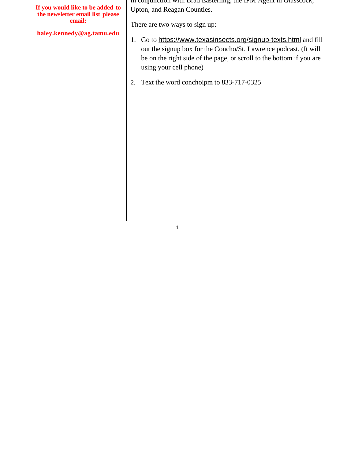| If you would like to be added to<br>the newsletter email list please<br>email:<br>haley.kennedy@ag.tamu.edu | Drau Easterling, the IFM Agent III Chasscock,<br>Upton, and Reagan Counties.<br>There are two ways to sign up:<br>Go to https://www.texasinsects.org/signup-texts.html and fill<br>out the signup box for the Concho/St. Lawrence podcast. (It will<br>be on the right side of the page, or scroll to the bottom if you are<br>using your cell phone) |
|-------------------------------------------------------------------------------------------------------------|-------------------------------------------------------------------------------------------------------------------------------------------------------------------------------------------------------------------------------------------------------------------------------------------------------------------------------------------------------|
|                                                                                                             | Text the word conchoipm to 833-717-0325                                                                                                                                                                                                                                                                                                               |

1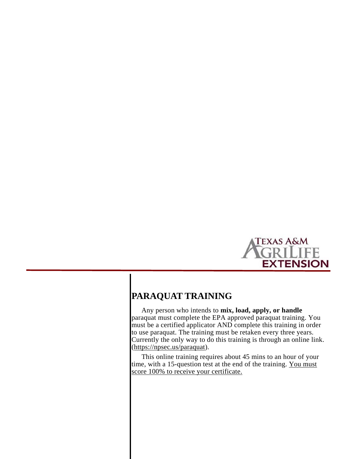

## **PARAQUAT TRAINING**

 Any person who intends to **mix, load, apply, or handle** paraquat must complete the EPA approved paraquat training. You must be a certified applicator AND complete this training in order to use paraquat. The training must be retaken every three years. Currently the only way to do this training is through an online link. (https://npsec.us/paraquat).

 This online training requires about 45 mins to an hour of your time, with a 15-question test at the end of the training. You must score 100% to receive your certificate.